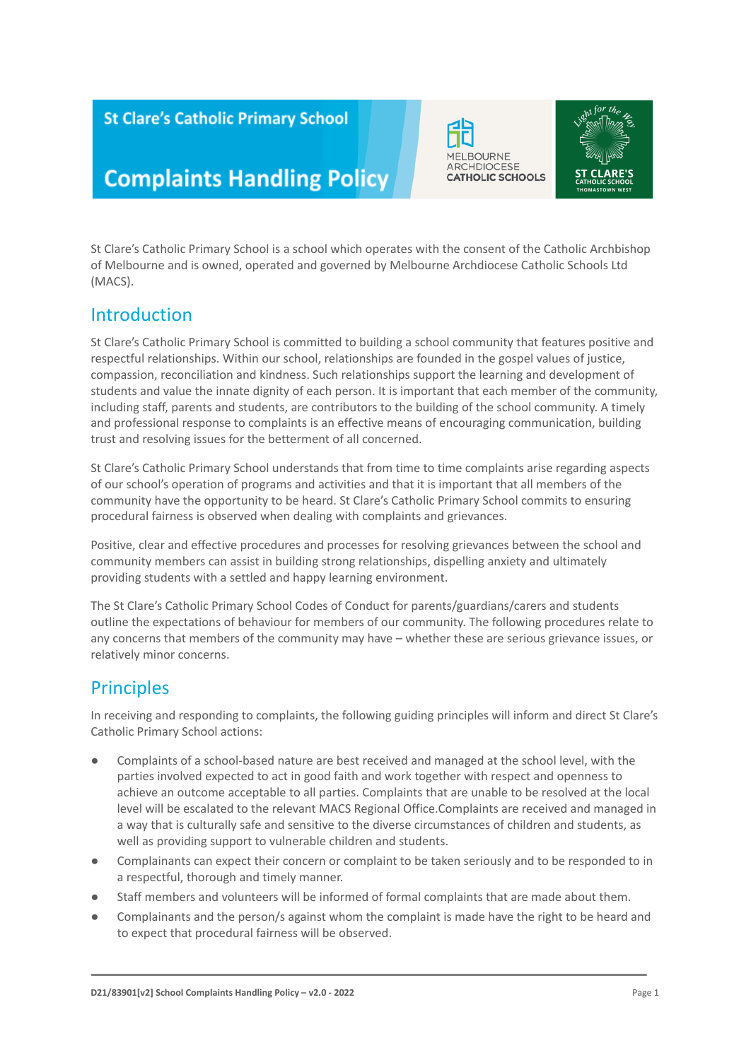### **St Clare's Catholic Primary School**

# **Complaints Handling Policy**

St Clare's Catholic Primary School is a school which operates with the consent of the Catholic Archbishop of Melbourne and is owned, operated and governed by Melbourne Archdiocese Catholic Schools Ltd (MACS).

### Introduction

St Clare's Catholic Primary School is committed to building a school community that features positive and respectful relationships. Within our school, relationships are founded in the gospel values of justice, compassion, reconciliation and kindness. Such relationships support the learning and development of students and value the innate dignity of each person. It is important that each member of the community, including staff, parents and students, are contributors to the building of the school community. A timely and professional response to complaints is an effective means of encouraging communication, building trust and resolving issues for the betterment of all concerned.

St Clare's Catholic Primary School understands that from time to time complaints arise regarding aspects of our school's operation of programs and activities and that it is important that all members of the community have the opportunity to be heard. St Clare's Catholic Primary School commits to ensuring procedural fairness is observed when dealing with complaints and grievances.

Positive, clear and effective procedures and processes for resolving grievances between the school and community members can assist in building strong relationships, dispelling anxiety and ultimately providing students with a settled and happy learning environment.

The St Clare's Catholic Primary School Codes of Conduct for parents/guardians/carers and students outline the expectations of behaviour for members of our community. The following procedures relate to any concerns that members of the community may have – whether these are serious grievance issues, or relatively minor concerns.

### **Principles**

In receiving and responding to complaints, the following guiding principles will inform and direct St Clare's Catholic Primary School actions:

- Complaints of a school-based nature are best received and managed at the school level, with the parties involved expected to act in good faith and work together with respect and openness to achieve an outcome acceptable to all parties. Complaints that are unable to be resolved at the local level will be escalated to the relevant MACS Regional Office.Complaints are received and managed in a way that is culturally safe and sensitive to the diverse circumstances of children and students, as well as providing support to vulnerable children and students.
- Complainants can expect their concern or complaint to be taken seriously and to be responded to in a respectful, thorough and timely manner.
- Staff members and volunteers will be informed of formal complaints that are made about them.
- Complainants and the person/s against whom the complaint is made have the right to be heard and to expect that procedural fairness will be observed.



**MELBOURNE ARCHDIOCESE** 

**CATHOLIC SCHOOLS**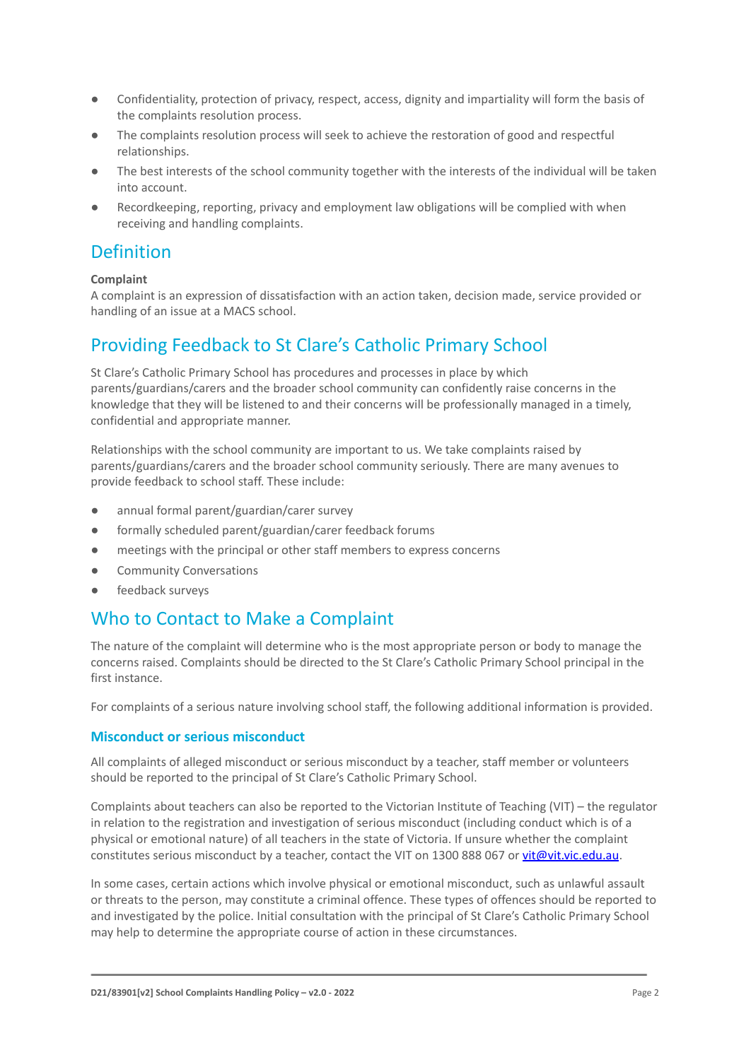- Confidentiality, protection of privacy, respect, access, dignity and impartiality will form the basis of the complaints resolution process.
- The complaints resolution process will seek to achieve the restoration of good and respectful relationships.
- The best interests of the school community together with the interests of the individual will be taken into account.
- Recordkeeping, reporting, privacy and employment law obligations will be complied with when receiving and handling complaints.

### Definition

#### **Complaint**

A complaint is an expression of dissatisfaction with an action taken, decision made, service provided or handling of an issue at a MACS school.

### Providing Feedback to St Clare's Catholic Primary School

St Clare's Catholic Primary School has procedures and processes in place by which parents/guardians/carers and the broader school community can confidently raise concerns in the knowledge that they will be listened to and their concerns will be professionally managed in a timely, confidential and appropriate manner.

Relationships with the school community are important to us. We take complaints raised by parents/guardians/carers and the broader school community seriously. There are many avenues to provide feedback to school staff. These include:

- annual formal parent/guardian/carer survey
- formally scheduled parent/guardian/carer feedback forums
- meetings with the principal or other staff members to express concerns
- Community Conversations
- feedback surveys

### Who to Contact to Make a Complaint

The nature of the complaint will determine who is the most appropriate person or body to manage the concerns raised. Complaints should be directed to the St Clare's Catholic Primary School principal in the first instance.

For complaints of a serious nature involving school staff, the following additional information is provided.

#### **Misconduct or serious misconduct**

All complaints of alleged misconduct or serious misconduct by a teacher, staff member or volunteers should be reported to the principal of St Clare's Catholic Primary School.

Complaints about teachers can also be reported to the Victorian Institute of Teaching (VIT) – the regulator in relation to the registration and investigation of serious misconduct (including conduct which is of a physical or emotional nature) of all teachers in the state of Victoria. If unsure whether the complaint constitutes serious misconduct by a teacher, contact the VIT on 1300 888 067 or [vit@vit.vic.edu.au](mailto:vit@vit.vic.edu.au).

In some cases, certain actions which involve physical or emotional misconduct, such as unlawful assault or threats to the person, may constitute a criminal offence. These types of offences should be reported to and investigated by the police. Initial consultation with the principal of St Clare's Catholic Primary School may help to determine the appropriate course of action in these circumstances.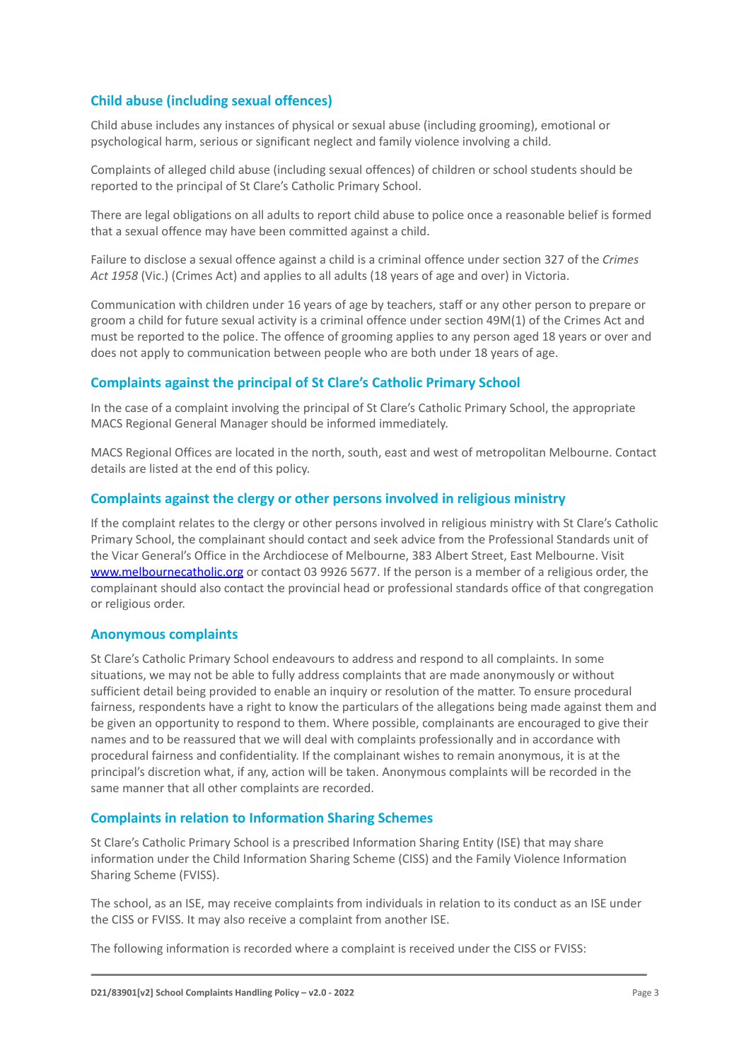#### **Child abuse (including sexual offences)**

Child abuse includes any instances of physical or sexual abuse (including grooming), emotional or psychological harm, serious or significant neglect and family violence involving a child.

Complaints of alleged child abuse (including sexual offences) of children or school students should be reported to the principal of St Clare's Catholic Primary School.

There are legal obligations on all adults to report child abuse to police once a reasonable belief is formed that a sexual offence may have been committed against a child.

Failure to disclose a sexual offence against a child is a criminal offence under section 327 of the *Crimes Act 1958* (Vic.) (Crimes Act) and applies to all adults (18 years of age and over) in Victoria.

Communication with children under 16 years of age by teachers, staff or any other person to prepare or groom a child for future sexual activity is a criminal offence under section 49M(1) of the Crimes Act and must be reported to the police. The offence of grooming applies to any person aged 18 years or over and does not apply to communication between people who are both under 18 years of age.

#### **Complaints against the principal of St Clare's Catholic Primary School**

In the case of a complaint involving the principal of St Clare's Catholic Primary School, the appropriate MACS Regional General Manager should be informed immediately.

MACS Regional Offices are located in the north, south, east and west of metropolitan Melbourne. Contact details are listed at the end of this policy.

#### **Complaints against the clergy or other persons involved in religious ministry**

If the complaint relates to the clergy or other persons involved in religious ministry with St Clare's Catholic Primary School, the complainant should contact and seek advice from the Professional Standards unit of the Vicar General's Office in the Archdiocese of Melbourne, 383 Albert Street, East Melbourne. Visit [www.melbournecatholic.org](http://www.melbournecatholic.org) or contact 03 9926 5677. If the person is a member of a religious order, the complainant should also contact the provincial head or professional standards office of that congregation or religious order.

#### **Anonymous complaints**

St Clare's Catholic Primary School endeavours to address and respond to all complaints. In some situations, we may not be able to fully address complaints that are made anonymously or without sufficient detail being provided to enable an inquiry or resolution of the matter. To ensure procedural fairness, respondents have a right to know the particulars of the allegations being made against them and be given an opportunity to respond to them. Where possible, complainants are encouraged to give their names and to be reassured that we will deal with complaints professionally and in accordance with procedural fairness and confidentiality. If the complainant wishes to remain anonymous, it is at the principal's discretion what, if any, action will be taken. Anonymous complaints will be recorded in the same manner that all other complaints are recorded.

#### **Complaints in relation to Information Sharing Schemes**

St Clare's Catholic Primary School is a prescribed Information Sharing Entity (ISE) that may share information under the Child Information Sharing Scheme (CISS) and the Family Violence Information Sharing Scheme (FVISS).

The school, as an ISE, may receive complaints from individuals in relation to its conduct as an ISE under the CISS or FVISS. It may also receive a complaint from another ISE.

The following information is recorded where a complaint is received under the CISS or FVISS: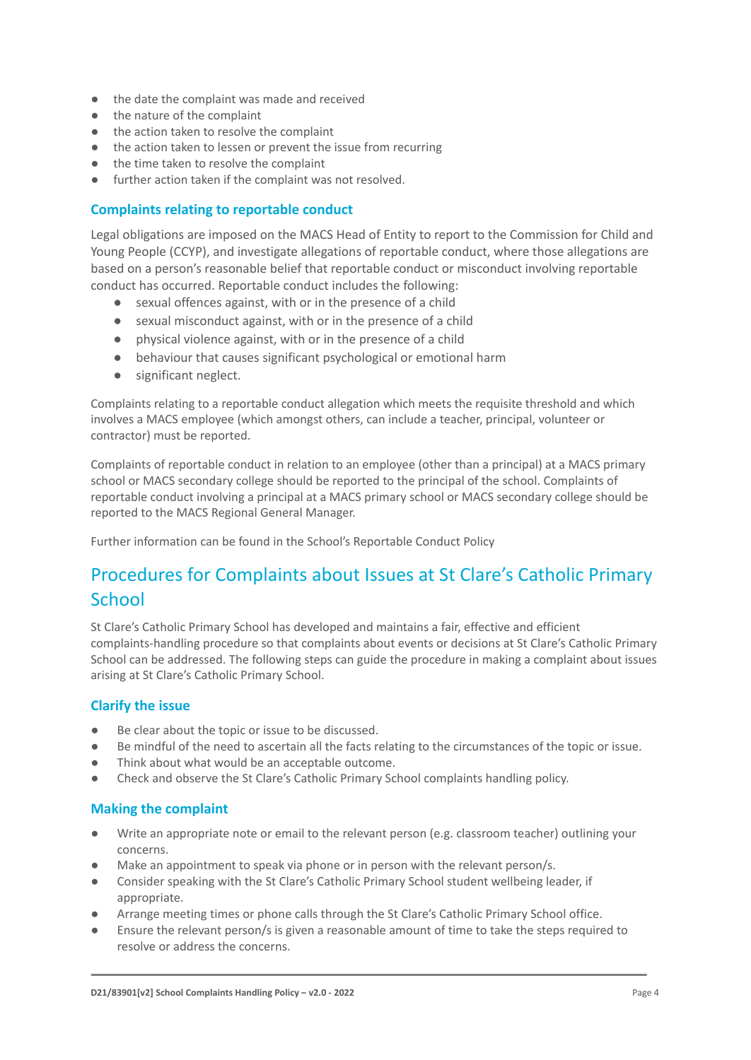- the date the complaint was made and received
- the nature of the complaint
- the action taken to resolve the complaint
- the action taken to lessen or prevent the issue from recurring
- the time taken to resolve the complaint
- further action taken if the complaint was not resolved.

#### **Complaints relating to reportable conduct**

Legal obligations are imposed on the MACS Head of Entity to report to the Commission for Child and Young People (CCYP), and investigate allegations of reportable conduct, where those allegations are based on a person's reasonable belief that reportable conduct or misconduct involving reportable conduct has occurred. Reportable conduct includes the following:

- sexual offences against, with or in the presence of a child
- sexual misconduct against, with or in the presence of a child
- physical violence against, with or in the presence of a child
- behaviour that causes significant psychological or emotional harm
- significant neglect.

Complaints relating to a reportable conduct allegation which meets the requisite threshold and which involves a MACS employee (which amongst others, can include a teacher, principal, volunteer or contractor) must be reported.

Complaints of reportable conduct in relation to an employee (other than a principal) at a MACS primary school or MACS secondary college should be reported to the principal of the school. Complaints of reportable conduct involving a principal at a MACS primary school or MACS secondary college should be reported to the MACS Regional General Manager.

Further information can be found in the School's Reportable Conduct Policy

### Procedures for Complaints about Issues at St Clare's Catholic Primary **School**

St Clare's Catholic Primary School has developed and maintains a fair, effective and efficient complaints-handling procedure so that complaints about events or decisions at St Clare's Catholic Primary School can be addressed. The following steps can guide the procedure in making a complaint about issues arising at St Clare's Catholic Primary School.

#### **Clarify the issue**

- Be clear about the topic or issue to be discussed.
- Be mindful of the need to ascertain all the facts relating to the circumstances of the topic or issue.
- Think about what would be an acceptable outcome.
- Check and observe the St Clare's Catholic Primary School complaints handling policy.

#### **Making the complaint**

- Write an appropriate note or email to the relevant person (e.g. classroom teacher) outlining your concerns.
- Make an appointment to speak via phone or in person with the relevant person/s.
- Consider speaking with the St Clare's Catholic Primary School student wellbeing leader, if appropriate.
- Arrange meeting times or phone calls through the St Clare's Catholic Primary School office.
- Ensure the relevant person/s is given a reasonable amount of time to take the steps required to resolve or address the concerns.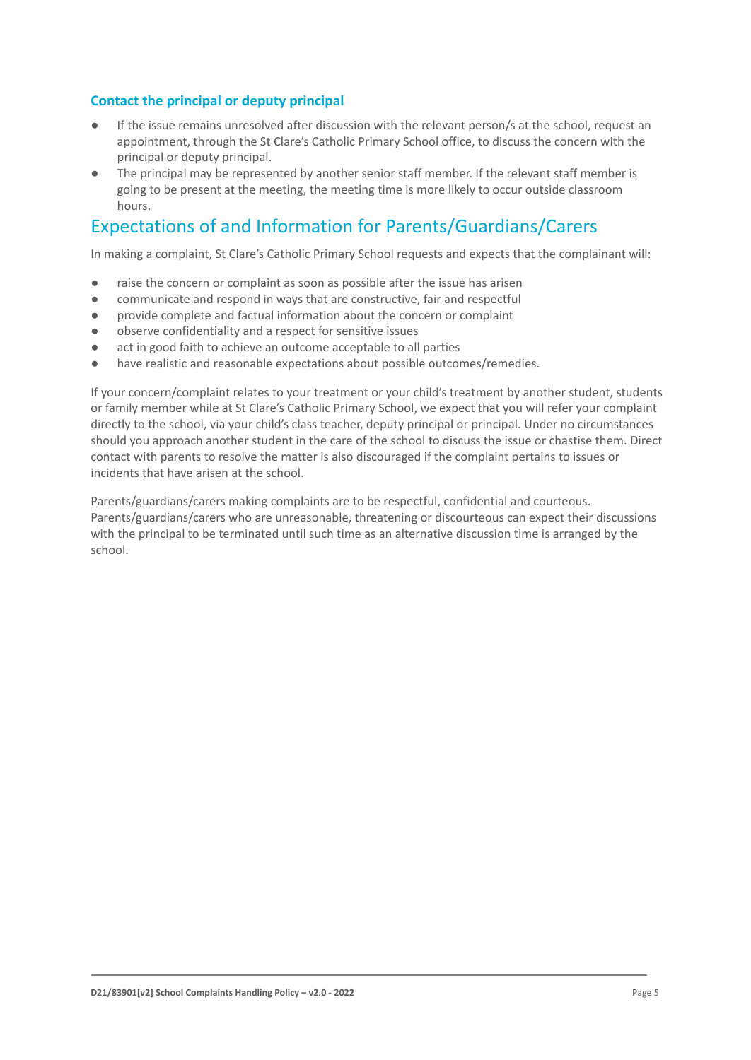#### **Contact the principal or deputy principal**

- If the issue remains unresolved after discussion with the relevant person/s at the school, request an appointment, through the St Clare's Catholic Primary School office, to discuss the concern with the principal or deputy principal.
- The principal may be represented by another senior staff member. If the relevant staff member is going to be present at the meeting, the meeting time is more likely to occur outside classroom hours.

### Expectations of and Information for Parents/Guardians/Carers

In making a complaint, St Clare's Catholic Primary School requests and expects that the complainant will:

- raise the concern or complaint as soon as possible after the issue has arisen
- communicate and respond in ways that are constructive, fair and respectful
- provide complete and factual information about the concern or complaint
- observe confidentiality and a respect for sensitive issues
- act in good faith to achieve an outcome acceptable to all parties
- have realistic and reasonable expectations about possible outcomes/remedies.

If your concern/complaint relates to your treatment or your child's treatment by another student, students or family member while at St Clare's Catholic Primary School, we expect that you will refer your complaint directly to the school, via your child's class teacher, deputy principal or principal. Under no circumstances should you approach another student in the care of the school to discuss the issue or chastise them. Direct contact with parents to resolve the matter is also discouraged if the complaint pertains to issues or incidents that have arisen at the school.

Parents/guardians/carers making complaints are to be respectful, confidential and courteous. Parents/guardians/carers who are unreasonable, threatening or discourteous can expect their discussions with the principal to be terminated until such time as an alternative discussion time is arranged by the school.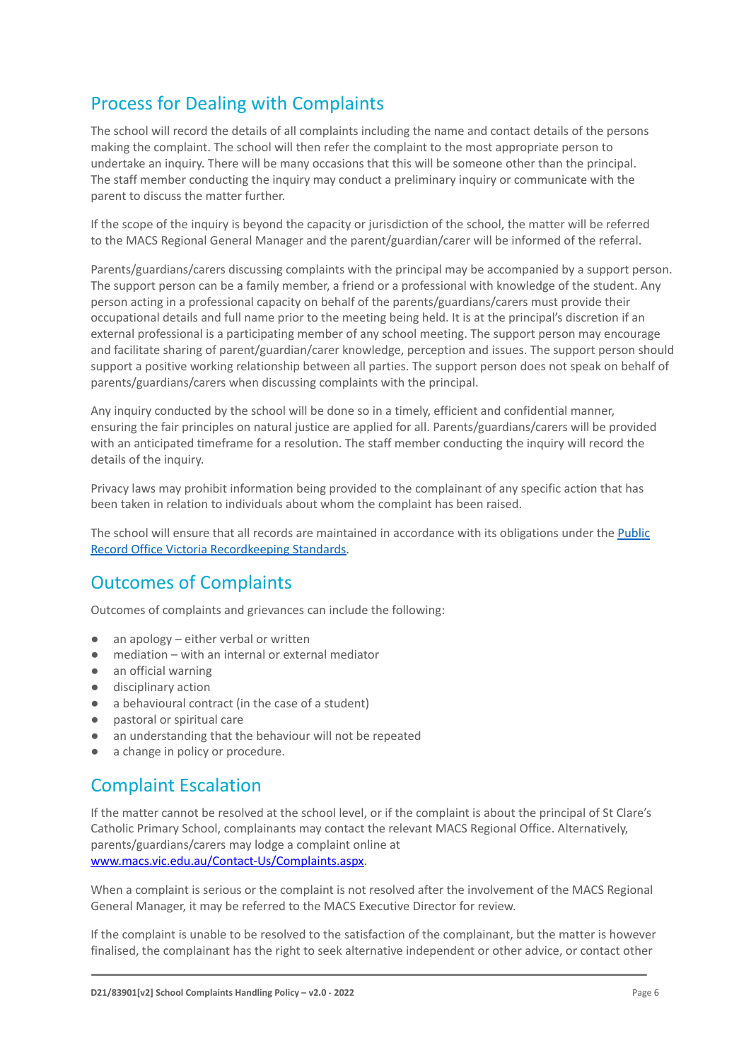# Process for Dealing with Complaints

The school will record the details of all complaints including the name and contact details of the persons making the complaint. The school will then refer the complaint to the most appropriate person to undertake an inquiry. There will be many occasions that this will be someone other than the principal. The staff member conducting the inquiry may conduct a preliminary inquiry or communicate with the parent to discuss the matter further.

If the scope of the inquiry is beyond the capacity or jurisdiction of the school, the matter will be referred to the MACS Regional General Manager and the parent/guardian/carer will be informed of the referral.

Parents/guardians/carers discussing complaints with the principal may be accompanied by a support person. The support person can be a family member, a friend or a professional with knowledge of the student. Any person acting in a professional capacity on behalf of the parents/guardians/carers must provide their occupational details and full name prior to the meeting being held. It is at the principal's discretion if an external professional is a participating member of any school meeting. The support person may encourage and facilitate sharing of parent/guardian/carer knowledge, perception and issues. The support person should support a positive working relationship between all parties. The support person does not speak on behalf of parents/guardians/carers when discussing complaints with the principal.

Any inquiry conducted by the school will be done so in a timely, efficient and confidential manner, ensuring the fair principles on natural justice are applied for all. Parents/guardians/carers will be provided with an anticipated timeframe for a resolution. The staff member conducting the inquiry will record the details of the inquiry.

Privacy laws may prohibit information being provided to the complainant of any specific action that has been taken in relation to individuals about whom the complaint has been raised.

The school will ensure that all records are maintained in accordance with its obligations under the [Public](https://prov.vic.gov.au/recordkeeping-government/standards-framework) [Record Office Victoria Recordkeeping Standards.](https://prov.vic.gov.au/recordkeeping-government/standards-framework)

### Outcomes of Complaints

Outcomes of complaints and grievances can include the following:

- an apology either verbal or written
- mediation with an internal or external mediator
- an official warning
- disciplinary action
- a behavioural contract (in the case of a student)
- pastoral or spiritual care
- an understanding that the behaviour will not be repeated
- a change in policy or procedure.

### Complaint Escalation

If the matter cannot be resolved at the school level, or if the complaint is about the principal of St Clare's Catholic Primary School, complainants may contact the relevant MACS Regional Office. Alternatively, parents/guardians/carers may lodge a complaint online at [www.macs.vic.edu.au/Contact-Us/Complaints.aspx.](http://www.macs.vic.edu.au/Contact-Us/Complaints.aspx)

When a complaint is serious or the complaint is not resolved after the involvement of the MACS Regional General Manager, it may be referred to the MACS Executive Director for review.

If the complaint is unable to be resolved to the satisfaction of the complainant, but the matter is however finalised, the complainant has the right to seek alternative independent or other advice, or contact other